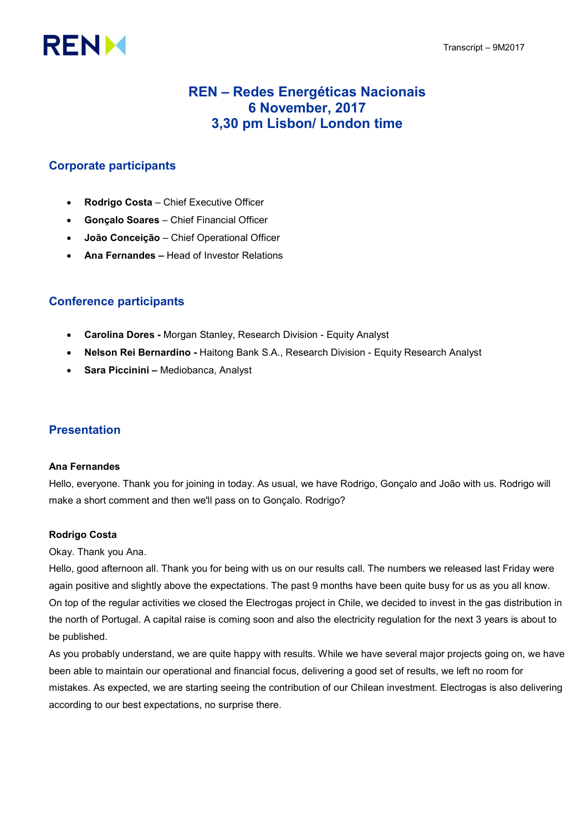# **RENM**

# REN – Redes Energéticas Nacionais 6 November, 2017 3,30 pm Lisbon/ London time

## Corporate participants

- Rodrigo Costa Chief Executive Officer
- Gonçalo Soares Chief Financial Officer
- João Conceição Chief Operational Officer
- Ana Fernandes Head of Investor Relations

## Conference participants

- Carolina Dores Morgan Stanley, Research Division Equity Analyst
- Nelson Rei Bernardino Haitong Bank S.A., Research Division Equity Research Analyst
- Sara Piccinini Mediobanca, Analyst

## Presentation

#### Ana Fernandes

Hello, everyone. Thank you for joining in today. As usual, we have Rodrigo, Gonçalo and João with us. Rodrigo will make a short comment and then we'll pass on to Gonçalo. Rodrigo?

#### Rodrigo Costa

Okay. Thank you Ana.

Hello, good afternoon all. Thank you for being with us on our results call. The numbers we released last Friday were again positive and slightly above the expectations. The past 9 months have been quite busy for us as you all know. On top of the regular activities we closed the Electrogas project in Chile, we decided to invest in the gas distribution in the north of Portugal. A capital raise is coming soon and also the electricity regulation for the next 3 years is about to be published.

As you probably understand, we are quite happy with results. While we have several major projects going on, we have been able to maintain our operational and financial focus, delivering a good set of results, we left no room for mistakes. As expected, we are starting seeing the contribution of our Chilean investment. Electrogas is also delivering according to our best expectations, no surprise there.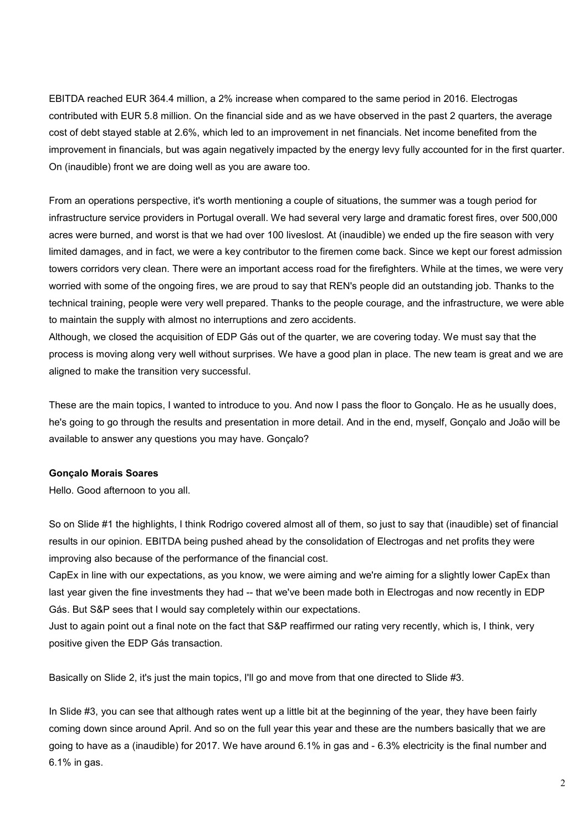EBITDA reached EUR 364.4 million, a 2% increase when compared to the same period in 2016. Electrogas contributed with EUR 5.8 million. On the financial side and as we have observed in the past 2 quarters, the average cost of debt stayed stable at 2.6%, which led to an improvement in net financials. Net income benefited from the improvement in financials, but was again negatively impacted by the energy levy fully accounted for in the first quarter. On (inaudible) front we are doing well as you are aware too.

From an operations perspective, it's worth mentioning a couple of situations, the summer was a tough period for infrastructure service providers in Portugal overall. We had several very large and dramatic forest fires, over 500,000 acres were burned, and worst is that we had over 100 liveslost. At (inaudible) we ended up the fire season with very limited damages, and in fact, we were a key contributor to the firemen come back. Since we kept our forest admission towers corridors very clean. There were an important access road for the firefighters. While at the times, we were very worried with some of the ongoing fires, we are proud to say that REN's people did an outstanding job. Thanks to the technical training, people were very well prepared. Thanks to the people courage, and the infrastructure, we were able to maintain the supply with almost no interruptions and zero accidents.

Although, we closed the acquisition of EDP Gás out of the quarter, we are covering today. We must say that the process is moving along very well without surprises. We have a good plan in place. The new team is great and we are aligned to make the transition very successful.

These are the main topics, I wanted to introduce to you. And now I pass the floor to Gonçalo. He as he usually does, he's going to go through the results and presentation in more detail. And in the end, myself, Gonçalo and João will be available to answer any questions you may have. Gonçalo?

#### Gonçalo Morais Soares

Hello. Good afternoon to you all.

So on Slide #1 the highlights, I think Rodrigo covered almost all of them, so just to say that (inaudible) set of financial results in our opinion. EBITDA being pushed ahead by the consolidation of Electrogas and net profits they were improving also because of the performance of the financial cost.

CapEx in line with our expectations, as you know, we were aiming and we're aiming for a slightly lower CapEx than last year given the fine investments they had -- that we've been made both in Electrogas and now recently in EDP Gás. But S&P sees that I would say completely within our expectations.

Just to again point out a final note on the fact that S&P reaffirmed our rating very recently, which is, I think, very positive given the EDP Gás transaction.

Basically on Slide 2, it's just the main topics, I'll go and move from that one directed to Slide #3.

In Slide #3, you can see that although rates went up a little bit at the beginning of the year, they have been fairly coming down since around April. And so on the full year this year and these are the numbers basically that we are going to have as a (inaudible) for 2017. We have around 6.1% in gas and - 6.3% electricity is the final number and 6.1% in gas.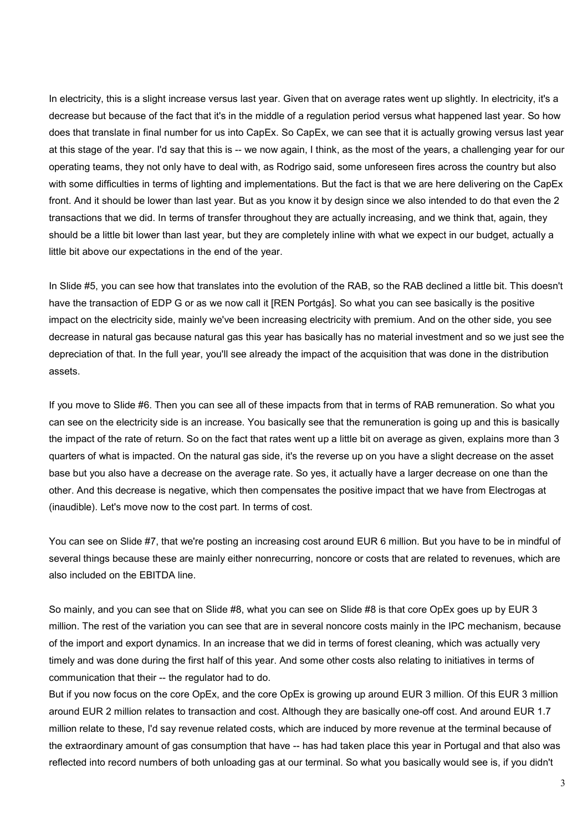In electricity, this is a slight increase versus last year. Given that on average rates went up slightly. In electricity, it's a decrease but because of the fact that it's in the middle of a regulation period versus what happened last year. So how does that translate in final number for us into CapEx. So CapEx, we can see that it is actually growing versus last year at this stage of the year. I'd say that this is -- we now again, I think, as the most of the years, a challenging year for our operating teams, they not only have to deal with, as Rodrigo said, some unforeseen fires across the country but also with some difficulties in terms of lighting and implementations. But the fact is that we are here delivering on the CapEx front. And it should be lower than last year. But as you know it by design since we also intended to do that even the 2 transactions that we did. In terms of transfer throughout they are actually increasing, and we think that, again, they should be a little bit lower than last year, but they are completely inline with what we expect in our budget, actually a little bit above our expectations in the end of the year.

In Slide #5, you can see how that translates into the evolution of the RAB, so the RAB declined a little bit. This doesn't have the transaction of EDP G or as we now call it [REN Portgás]. So what you can see basically is the positive impact on the electricity side, mainly we've been increasing electricity with premium. And on the other side, you see decrease in natural gas because natural gas this year has basically has no material investment and so we just see the depreciation of that. In the full year, you'll see already the impact of the acquisition that was done in the distribution assets.

If you move to Slide #6. Then you can see all of these impacts from that in terms of RAB remuneration. So what you can see on the electricity side is an increase. You basically see that the remuneration is going up and this is basically the impact of the rate of return. So on the fact that rates went up a little bit on average as given, explains more than 3 quarters of what is impacted. On the natural gas side, it's the reverse up on you have a slight decrease on the asset base but you also have a decrease on the average rate. So yes, it actually have a larger decrease on one than the other. And this decrease is negative, which then compensates the positive impact that we have from Electrogas at (inaudible). Let's move now to the cost part. In terms of cost.

You can see on Slide #7, that we're posting an increasing cost around EUR 6 million. But you have to be in mindful of several things because these are mainly either nonrecurring, noncore or costs that are related to revenues, which are also included on the EBITDA line.

So mainly, and you can see that on Slide #8, what you can see on Slide #8 is that core OpEx goes up by EUR 3 million. The rest of the variation you can see that are in several noncore costs mainly in the IPC mechanism, because of the import and export dynamics. In an increase that we did in terms of forest cleaning, which was actually very timely and was done during the first half of this year. And some other costs also relating to initiatives in terms of communication that their -- the regulator had to do.

But if you now focus on the core OpEx, and the core OpEx is growing up around EUR 3 million. Of this EUR 3 million around EUR 2 million relates to transaction and cost. Although they are basically one-off cost. And around EUR 1.7 million relate to these, I'd say revenue related costs, which are induced by more revenue at the terminal because of the extraordinary amount of gas consumption that have -- has had taken place this year in Portugal and that also was reflected into record numbers of both unloading gas at our terminal. So what you basically would see is, if you didn't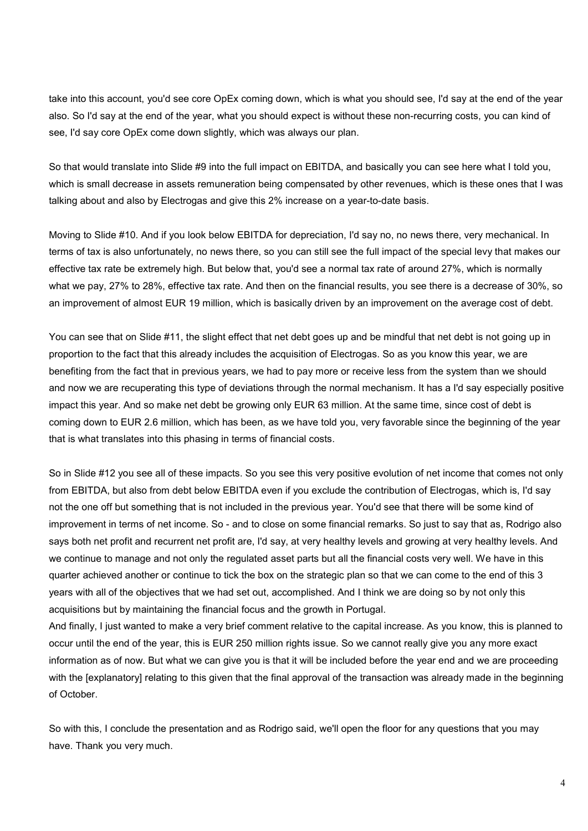take into this account, you'd see core OpEx coming down, which is what you should see, I'd say at the end of the year also. So I'd say at the end of the year, what you should expect is without these non-recurring costs, you can kind of see, I'd say core OpEx come down slightly, which was always our plan.

So that would translate into Slide #9 into the full impact on EBITDA, and basically you can see here what I told you, which is small decrease in assets remuneration being compensated by other revenues, which is these ones that I was talking about and also by Electrogas and give this 2% increase on a year-to-date basis.

Moving to Slide #10. And if you look below EBITDA for depreciation, I'd say no, no news there, very mechanical. In terms of tax is also unfortunately, no news there, so you can still see the full impact of the special levy that makes our effective tax rate be extremely high. But below that, you'd see a normal tax rate of around 27%, which is normally what we pay, 27% to 28%, effective tax rate. And then on the financial results, you see there is a decrease of 30%, so an improvement of almost EUR 19 million, which is basically driven by an improvement on the average cost of debt.

You can see that on Slide #11, the slight effect that net debt goes up and be mindful that net debt is not going up in proportion to the fact that this already includes the acquisition of Electrogas. So as you know this year, we are benefiting from the fact that in previous years, we had to pay more or receive less from the system than we should and now we are recuperating this type of deviations through the normal mechanism. It has a I'd say especially positive impact this year. And so make net debt be growing only EUR 63 million. At the same time, since cost of debt is coming down to EUR 2.6 million, which has been, as we have told you, very favorable since the beginning of the year that is what translates into this phasing in terms of financial costs.

So in Slide #12 you see all of these impacts. So you see this very positive evolution of net income that comes not only from EBITDA, but also from debt below EBITDA even if you exclude the contribution of Electrogas, which is, I'd say not the one off but something that is not included in the previous year. You'd see that there will be some kind of improvement in terms of net income. So - and to close on some financial remarks. So just to say that as, Rodrigo also says both net profit and recurrent net profit are, I'd say, at very healthy levels and growing at very healthy levels. And we continue to manage and not only the regulated asset parts but all the financial costs very well. We have in this quarter achieved another or continue to tick the box on the strategic plan so that we can come to the end of this 3 years with all of the objectives that we had set out, accomplished. And I think we are doing so by not only this acquisitions but by maintaining the financial focus and the growth in Portugal.

And finally, I just wanted to make a very brief comment relative to the capital increase. As you know, this is planned to occur until the end of the year, this is EUR 250 million rights issue. So we cannot really give you any more exact information as of now. But what we can give you is that it will be included before the year end and we are proceeding with the [explanatory] relating to this given that the final approval of the transaction was already made in the beginning of October.

So with this, I conclude the presentation and as Rodrigo said, we'll open the floor for any questions that you may have. Thank you very much.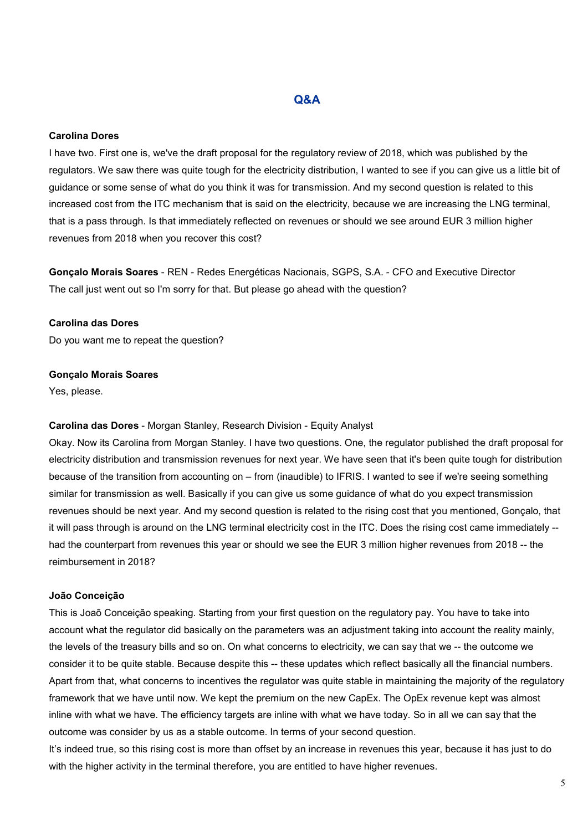## Q&A

#### Carolina Dores

I have two. First one is, we've the draft proposal for the regulatory review of 2018, which was published by the regulators. We saw there was quite tough for the electricity distribution, I wanted to see if you can give us a little bit of guidance or some sense of what do you think it was for transmission. And my second question is related to this increased cost from the ITC mechanism that is said on the electricity, because we are increasing the LNG terminal, that is a pass through. Is that immediately reflected on revenues or should we see around EUR 3 million higher revenues from 2018 when you recover this cost?

Gonçalo Morais Soares - REN - Redes Energéticas Nacionais, SGPS, S.A. - CFO and Executive Director The call just went out so I'm sorry for that. But please go ahead with the question?

#### Carolina das Dores

Do you want me to repeat the question?

#### Gonçalo Morais Soares

Yes, please.

#### Carolina das Dores - Morgan Stanley, Research Division - Equity Analyst

Okay. Now its Carolina from Morgan Stanley. I have two questions. One, the regulator published the draft proposal for electricity distribution and transmission revenues for next year. We have seen that it's been quite tough for distribution because of the transition from accounting on – from (inaudible) to IFRIS. I wanted to see if we're seeing something similar for transmission as well. Basically if you can give us some guidance of what do you expect transmission revenues should be next year. And my second question is related to the rising cost that you mentioned, Gonçalo, that it will pass through is around on the LNG terminal electricity cost in the ITC. Does the rising cost came immediately - had the counterpart from revenues this year or should we see the EUR 3 million higher revenues from 2018 -- the reimbursement in 2018?

#### João Conceição

This is Joaõ Conceição speaking. Starting from your first question on the regulatory pay. You have to take into account what the regulator did basically on the parameters was an adjustment taking into account the reality mainly, the levels of the treasury bills and so on. On what concerns to electricity, we can say that we -- the outcome we consider it to be quite stable. Because despite this -- these updates which reflect basically all the financial numbers. Apart from that, what concerns to incentives the regulator was quite stable in maintaining the majority of the regulatory framework that we have until now. We kept the premium on the new CapEx. The OpEx revenue kept was almost inline with what we have. The efficiency targets are inline with what we have today. So in all we can say that the outcome was consider by us as a stable outcome. In terms of your second question.

It's indeed true, so this rising cost is more than offset by an increase in revenues this year, because it has just to do with the higher activity in the terminal therefore, you are entitled to have higher revenues.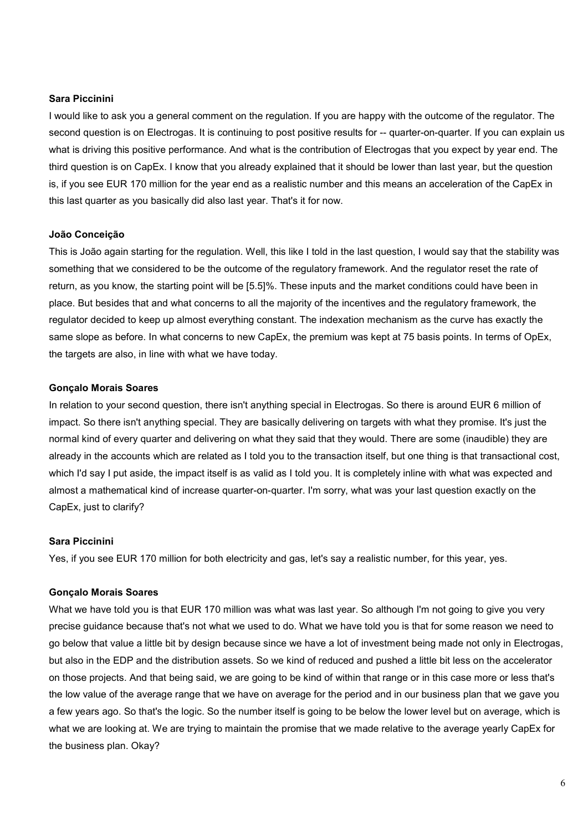#### Sara Piccinini

I would like to ask you a general comment on the regulation. If you are happy with the outcome of the regulator. The second question is on Electrogas. It is continuing to post positive results for -- quarter-on-quarter. If you can explain us what is driving this positive performance. And what is the contribution of Electrogas that you expect by year end. The third question is on CapEx. I know that you already explained that it should be lower than last year, but the question is, if you see EUR 170 million for the year end as a realistic number and this means an acceleration of the CapEx in this last quarter as you basically did also last year. That's it for now.

#### João Conceição

This is João again starting for the regulation. Well, this like I told in the last question, I would say that the stability was something that we considered to be the outcome of the regulatory framework. And the regulator reset the rate of return, as you know, the starting point will be [5.5]%. These inputs and the market conditions could have been in place. But besides that and what concerns to all the majority of the incentives and the regulatory framework, the regulator decided to keep up almost everything constant. The indexation mechanism as the curve has exactly the same slope as before. In what concerns to new CapEx, the premium was kept at 75 basis points. In terms of OpEx, the targets are also, in line with what we have today.

#### Gonçalo Morais Soares

In relation to your second question, there isn't anything special in Electrogas. So there is around EUR 6 million of impact. So there isn't anything special. They are basically delivering on targets with what they promise. It's just the normal kind of every quarter and delivering on what they said that they would. There are some (inaudible) they are already in the accounts which are related as I told you to the transaction itself, but one thing is that transactional cost, which I'd say I put aside, the impact itself is as valid as I told you. It is completely inline with what was expected and almost a mathematical kind of increase quarter-on-quarter. I'm sorry, what was your last question exactly on the CapEx, just to clarify?

#### Sara Piccinini

Yes, if you see EUR 170 million for both electricity and gas, let's say a realistic number, for this year, yes.

#### Gonçalo Morais Soares

What we have told you is that EUR 170 million was what was last year. So although I'm not going to give you very precise guidance because that's not what we used to do. What we have told you is that for some reason we need to go below that value a little bit by design because since we have a lot of investment being made not only in Electrogas, but also in the EDP and the distribution assets. So we kind of reduced and pushed a little bit less on the accelerator on those projects. And that being said, we are going to be kind of within that range or in this case more or less that's the low value of the average range that we have on average for the period and in our business plan that we gave you a few years ago. So that's the logic. So the number itself is going to be below the lower level but on average, which is what we are looking at. We are trying to maintain the promise that we made relative to the average yearly CapEx for the business plan. Okay?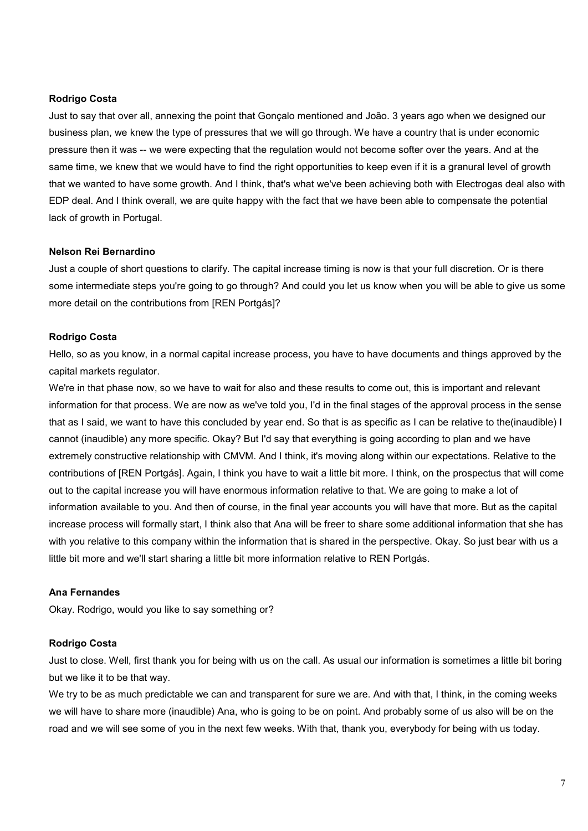#### Rodrigo Costa

Just to say that over all, annexing the point that Gonçalo mentioned and João. 3 years ago when we designed our business plan, we knew the type of pressures that we will go through. We have a country that is under economic pressure then it was -- we were expecting that the regulation would not become softer over the years. And at the same time, we knew that we would have to find the right opportunities to keep even if it is a granural level of growth that we wanted to have some growth. And I think, that's what we've been achieving both with Electrogas deal also with EDP deal. And I think overall, we are quite happy with the fact that we have been able to compensate the potential lack of growth in Portugal.

#### Nelson Rei Bernardino

Just a couple of short questions to clarify. The capital increase timing is now is that your full discretion. Or is there some intermediate steps you're going to go through? And could you let us know when you will be able to give us some more detail on the contributions from [REN Portgás]?

#### Rodrigo Costa

Hello, so as you know, in a normal capital increase process, you have to have documents and things approved by the capital markets regulator.

We're in that phase now, so we have to wait for also and these results to come out, this is important and relevant information for that process. We are now as we've told you, I'd in the final stages of the approval process in the sense that as I said, we want to have this concluded by year end. So that is as specific as I can be relative to the(inaudible) I cannot (inaudible) any more specific. Okay? But I'd say that everything is going according to plan and we have extremely constructive relationship with CMVM. And I think, it's moving along within our expectations. Relative to the contributions of [REN Portgás]. Again, I think you have to wait a little bit more. I think, on the prospectus that will come out to the capital increase you will have enormous information relative to that. We are going to make a lot of information available to you. And then of course, in the final year accounts you will have that more. But as the capital increase process will formally start, I think also that Ana will be freer to share some additional information that she has with you relative to this company within the information that is shared in the perspective. Okay. So just bear with us a little bit more and we'll start sharing a little bit more information relative to REN Portgás.

#### Ana Fernandes

Okay. Rodrigo, would you like to say something or?

#### Rodrigo Costa

Just to close. Well, first thank you for being with us on the call. As usual our information is sometimes a little bit boring but we like it to be that way.

We try to be as much predictable we can and transparent for sure we are. And with that, I think, in the coming weeks we will have to share more (inaudible) Ana, who is going to be on point. And probably some of us also will be on the road and we will see some of you in the next few weeks. With that, thank you, everybody for being with us today.